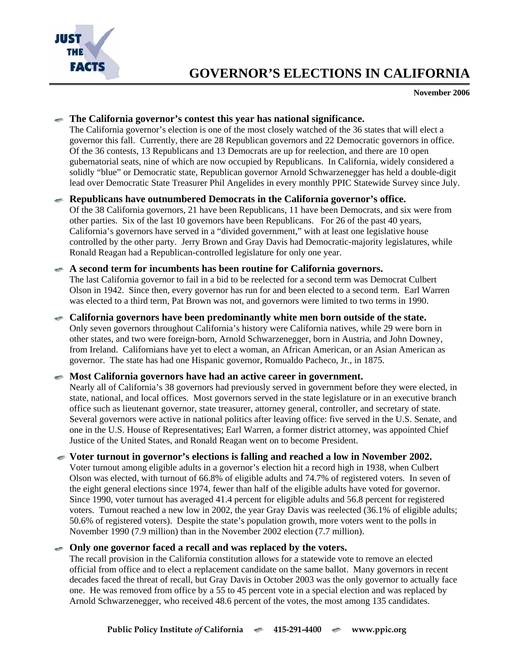

# **GOVERNOR'S ELECTIONS IN CALIFORNIA**

**November 2006** 

### **The California governor's contest this year has national significance.**

The California governor's election is one of the most closely watched of the 36 states that will elect a governor this fall. Currently, there are 28 Republican governors and 22 Democratic governors in office. Of the 36 contests, 13 Republicans and 13 Democrats are up for reelection, and there are 10 open gubernatorial seats, nine of which are now occupied by Republicans. In California, widely considered a solidly "blue" or Democratic state, Republican governor Arnold Schwarzenegger has held a double-digit lead over Democratic State Treasurer Phil Angelides in every monthly PPIC Statewide Survey since July.

# **Republicans have outnumbered Democrats in the California governor's office.**

Of the 38 California governors, 21 have been Republicans, 11 have been Democrats, and six were from other parties. Six of the last 10 governors have been Republicans. For 26 of the past 40 years, California's governors have served in a "divided government," with at least one legislative house controlled by the other party. Jerry Brown and Gray Davis had Democratic-majority legislatures, while Ronald Reagan had a Republican-controlled legislature for only one year.

# **A second term for incumbents has been routine for California governors.**

The last California governor to fail in a bid to be reelected for a second term was Democrat Culbert Olson in 1942. Since then, every governor has run for and been elected to a second term. Earl Warren was elected to a third term, Pat Brown was not, and governors were limited to two terms in 1990.

#### **California governors have been predominantly white men born outside of the state.**  Only seven governors throughout California's history were California natives, while 29 were born in other states, and two were foreign-born, Arnold Schwarzenegger, born in Austria, and John Downey, from Ireland. Californians have yet to elect a woman, an African American, or an Asian American as governor. The state has had one Hispanic governor, Romualdo Pacheco, Jr., in 1875.

# **Most California governors have had an active career in government.**

Nearly all of California's 38 governors had previously served in government before they were elected, in state, national, and local offices. Most governors served in the state legislature or in an executive branch office such as lieutenant governor, state treasurer, attorney general, controller, and secretary of state. Several governors were active in national politics after leaving office: five served in the U.S. Senate, and one in the U.S. House of Representatives; Earl Warren, a former district attorney, was appointed Chief Justice of the United States, and Ronald Reagan went on to become President.

#### **Voter turnout in governor's elections is falling and reached a low in November 2002.**

Voter turnout among eligible adults in a governor's election hit a record high in 1938, when Culbert Olson was elected, with turnout of 66.8% of eligible adults and 74.7% of registered voters. In seven of the eight general elections since 1974, fewer than half of the eligible adults have voted for governor. Since 1990, voter turnout has averaged 41.4 percent for eligible adults and 56.8 percent for registered voters. Turnout reached a new low in 2002, the year Gray Davis was reelected (36.1% of eligible adults; 50.6% of registered voters). Despite the state's population growth, more voters went to the polls in November 1990 (7.9 million) than in the November 2002 election (7.7 million).

# **Only one governor faced a recall and was replaced by the voters.**

The recall provision in the California constitution allows for a statewide vote to remove an elected official from office and to elect a replacement candidate on the same ballot. Many governors in recent decades faced the threat of recall, but Gray Davis in October 2003 was the only governor to actually face one. He was removed from office by a 55 to 45 percent vote in a special election and was replaced by Arnold Schwarzenegger, who received 48.6 percent of the votes, the most among 135 candidates.